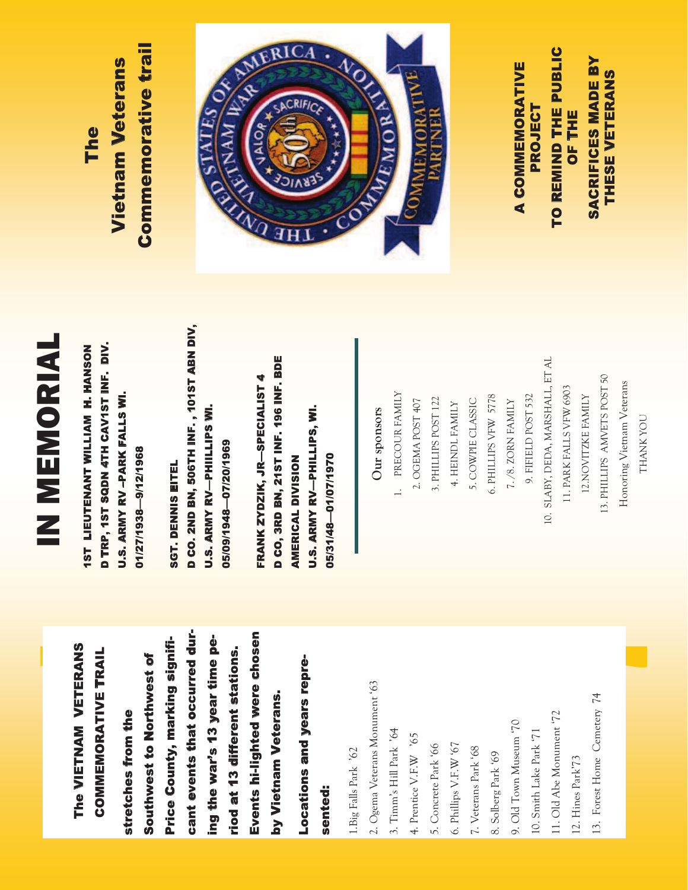## The VIETNAM VETERANS The VIETNAM VETERANS **COMMEMORATIVE TRAIL** COMMEMORATIVE TRAIL

cant events that occurred durcant events that occurred dur-Events hi-lighted were chosen Events hi-lighted were chosen Price County, marking signifiing the war's 13 year time peing the war's 13 year time pe-Price County, marking signifiriod at 13 different stations. riod at 13 different stations. Southwest to Northwest of Southwest to Northwest of by Vietnam Veterans. by Vietnam Veterans. stretches from the stretches from the

## Locations and years repre-Locations and years represented:

1. Big Falls Park '62 1.Big Falls Park '62 2. Ogema Veterans Monument '63 2. Ogema Veterans Monument '63

3. Timm's Hill Park '64 3. Timm's Hill Park '64

4. Prentice V.F.W  $\,$  '65 4. Prentice V.F.W '65

5. Concrete Park '66 5. Concrete Park '66 6. Phillips V.F.W '67 6. Phillips V.F.W '67 7. Veterans Park '68 7. Veterans Park '68

9. Old Town Museum '70 8. Solberg Park '69 8. Solberg Park '69

9. Old Town Museum '70 10. Smith Lake Park '71 10. Smith Lake Park '71

11. Old Abe Monument '72 11. Old Abe Monument '72

12. Hines Park'73 12. Hines Park'73 13. Forest Home Cemetery 74 13. Forest Home Cemetery 74 THANK YOU

*THANK YOU* 

## IN MEMORIAL IN MEMORIAL

D TRP, 1ST SQDN 4TH CAV1ST INF. DIV. **1ST LIEUTENANT WILLIAM H. HANSON** D TRP, 1ST INF. SQDN 507 SQDS LST CALL 2ST LIEUTENANT WILLIAM H. H. HANSONSON<br>1975 **U.S. ARMY RV-PARK FALLS WI.** U.S. ARMY RV –PARK FALLS WI. 01/27/1938-9/12/1968 01/27/1938—9/12/1968

D CO. 2ND BN, 506TH INF., 101ST ABN DIV, D CO. 2ND BN, 506TH INF. , 101ST ABN DIV, **U.S. ARMY RV-PHIILLIPS WI.** U.S. ARMY RV—PHIILLIPS WI. 05/09/1948-07/20/1969 05/09/1948—07/20/1969 **SGT. DENNIS EITEL** SGT. DENNIS EITEL

D CO, 3RD BN, 21ST INF. 196 INF. BDE D CO, 3RD BN, 21ST INF. 196 INF. BDE FRANK ZYDZIK, JR-SPECIALIST 4 FRANK ZYDZIK, JR—SPECIALIST 4 **U.S. ARMY RV-PHILLIPS, WI.** U.S. ARMY RV—PHILLIPS, WI. 05/31/48 01/07/1970 **AMERICAL DIVISION** 05/31/48—01/07/1970 AMERICAL DIVISION

10. SLABY, DEDA, MARSHALL, ET AL 10. SLABY, DEDA, MARSHALL, ET AL 13. PHILLIPS AMVETS POST 50 13. PHILLIPS AMVETS POST 50 Honoring Vietnam Veterans Honoring Vietnam Veterans 11. PARK FALLS VFW 6903 11. PARK FALLS VFW 6903 1. PRECOUR FAMILY 1. PRECOUR FAMILY 6. PHILLIPS VFW 5778 9. FIFIELD POST 532 12. NOVITZKE FAMILY 9. FIFIELD POST 532 12.NOVITZKE FAMILY 3. PHILLIPS POST 122 5. COWPIE CLASSIC 6. PHILLIPS VFW 5778 3. PHILLIPS POST 122  $7./8$ . ZORN ${\tt FAMLY}$ 2. OGEMA POST 407 2. OGEMA POST 407 4. HEINDL FAMILY 5. COWPIE CLASSIC 7. /8. ZORN FAMILY 4. HEINDL FAMILY Our sponsors **Our sponsors** 

A COMMEMORATIVE PROJECT<br>TO REMIND THE PUBLIC TO REMIND THE PUBLIC OF THE<br>SACRIFICES MADE BY SACRIFICES MADE BY THESE VETERANS

THESE VETERANS

A COMMEMORATIVE

## **Commemorative trail** Commemorative trail **Vietnam Veterans** Vietnam Veterans The